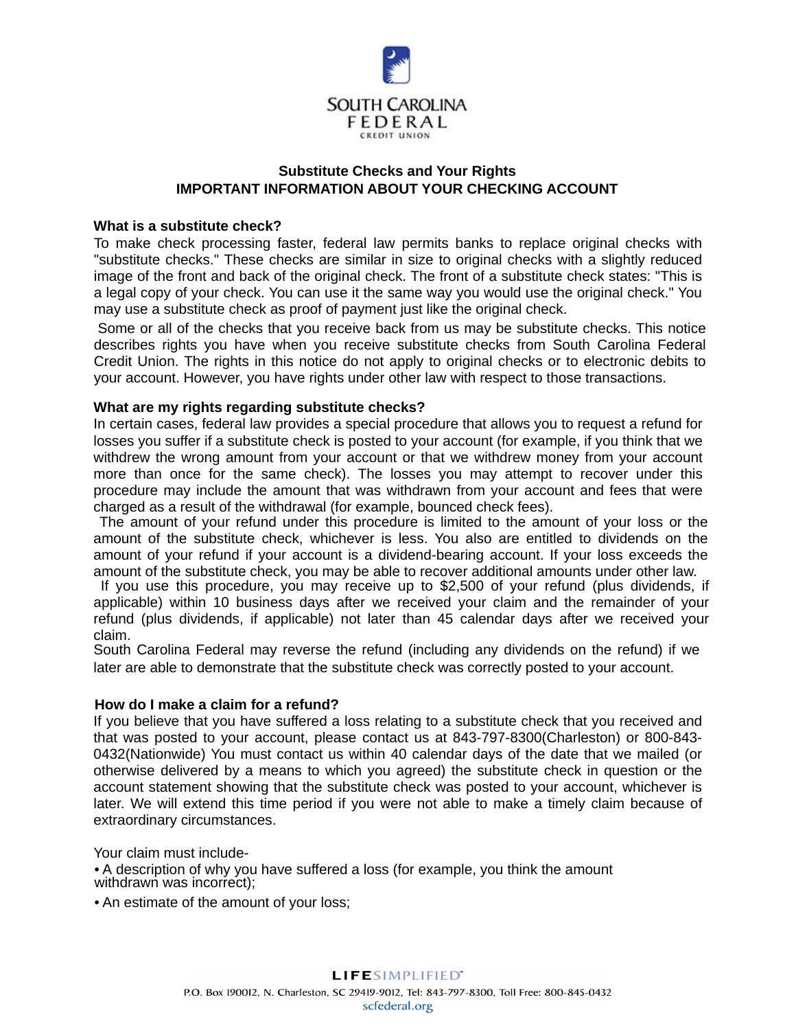

## **Substitute Checks and Your Rights IMPORTANT INFORMATION ABOUT YOUR CHECKING ACCOUNT**

## What is a substitute check?

To make check processing faster, federal law permits banks to replace original checks with "substitute checks." These checks are similar in size to original checks with a slightly reduced image of the front and back of the original check. The front of a substitute check states: "This is a legal copy of your check. You can use it the same way you would use the original check." You may use a substitute check as proof of payment just like the original check.

Some or all of the checks that you receive back from us may be substitute checks. This notice describes rights you have when you receive substitute checks from South Carolina Federal Credit Union. The rights in this notice do not apply to original checks or to electronic debits to your account. However, you have rights under other law with respect to those transactions.

## What are my rights regarding substitute checks?

In certain cases, federal law provides a special procedure that allows you to request a refund for losses you suffer if a substitute check is posted to your account (for example, if you think that we withdrew the wrong amount from your account or that we withdrew money from your account more than once for the same check). The losses you may attempt to recover under this procedure may include the amount that was withdrawn from your account and fees that were charged as a result of the withdrawal (for example, bounced check fees).

The amount of your refund under this procedure is limited to the amount of your loss or the amount of the substitute check, whichever is less. You also are entitled to dividends on the amount of your refund if your account is a dividend-bearing account. If your loss exceeds the amount of the substitute check, you may be able to recover additional amounts under other law.

If you use this procedure, you may receive up to \$2,500 of your refund (plus dividends, if applicable) within 10 business days after we received your claim and the remainder of your refund (plus dividends, if applicable) not later than 45 calendar days after we received your claim.

South Carolina Federal may reverse the refund (including any dividends on the refund) if we later are able to demonstrate that the substitute check was correctly posted to your account.

## How do I make a claim for a refund?

If you believe that you have suffered a loss relating to a substitute check that you received and that was posted to your account, please contact us at 843-797-8300(Charleston) or 800-843-0432(Nationwide) You must contact us within 40 calendar days of the date that we mailed (or otherwise delivered by a means to which you agreed) the substitute check in question or the account statement showing that the substitute check was posted to your account, whichever is later. We will extend this time period if you were not able to make a timely claim because of extraordinary circumstances.

Your claim must include-

• A description of why you have suffered a loss (for example, you think the amount withdrawn was incorrect);

• An estimate of the amount of your loss;